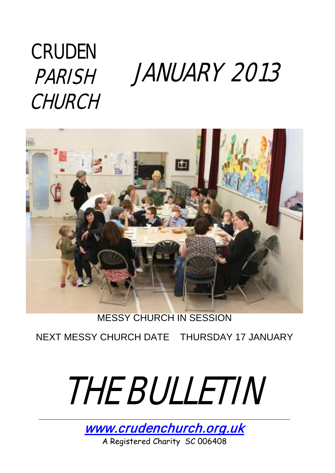## **CRUDEN** PARISH **CHURCH**

# JANUARY 2013



MESSY CHURCH IN SESSION

NEXT MESSY CHURCH DATE THURSDAY 17 JANUARY



[www.crudenchurch.org.uk](http://www.crudenchurch.org.uk/) A Registered Charity SC 006408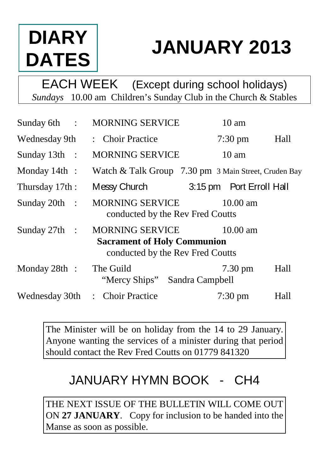## **DIARY DATES**

## **JANUARY 2013**

EACH WEEK (Except during school holidays) *Sundays* 10.00 am Children's Sunday Club in the Church & Stables

| Sunday 6th :    | <b>MORNING SERVICE</b>                                                                    | $10 \text{ am}$          |      |
|-----------------|-------------------------------------------------------------------------------------------|--------------------------|------|
| Wednesday 9th   | : Choir Practice                                                                          | $7:30 \text{ pm}$        | Hall |
| Sunday $13th$ : | <b>MORNING SERVICE</b>                                                                    | $10 \text{ am}$          |      |
| Monday $14th$ : | Watch & Talk Group 7.30 pm 3 Main Street, Cruden Bay                                      |                          |      |
| Thursday 17th:  | Messy Church                                                                              | 3:15 pm Port Erroll Hall |      |
| Sunday 20th :   | MORNING SERVICE<br>conducted by the Rev Fred Coutts                                       | $10.00 \text{ am}$       |      |
| Sunday $27th$ : | MORNING SERVICE<br><b>Sacrament of Holy Communion</b><br>conducted by the Rev Fred Coutts | 10.00 am                 |      |
| Monday 28th :   | The Guild<br>"Mercy Ships"<br>Sandra Campbell                                             | $7.30 \text{ pm}$        | Hall |
| Wednesday 30th  | : Choir Practice                                                                          | $7:30 \text{ pm}$        | Hall |

The Minister will be on holiday from the 14 to 29 January. Anyone wanting the services of a minister during that period should contact the Rev Fred Coutts on 01779 841320

### JANUARY HYMN BOOK - CH4

THE NEXT ISSUE OF THE BULLETIN WILL COME OUT ON **27 JANUARY**. Copy for inclusion to be handed into the Manse as soon as possible.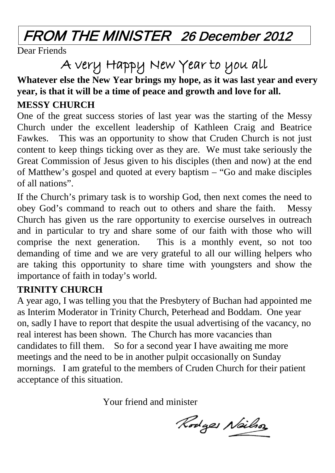### FROM THE MINISTER 26 December 2012

Dear Friends

A very Happy New Year to you all

#### **Whatever else the New Year brings my hope, as it was last year and every year, is that it will be a time of peace and growth and love for all.**

#### **MESSY CHURCH**

One of the great success stories of last year was the starting of the Messy Church under the excellent leadership of Kathleen Craig and Beatrice Fawkes. This was an opportunity to show that Cruden Church is not just content to keep things ticking over as they are. We must take seriously the Great Commission of Jesus given to his disciples (then and now) at the end of Matthew's gospel and quoted at every baptism – "Go and make disciples of all nations".

If the Church's primary task is to worship God, then next comes the need to obey God's command to reach out to others and share the faith. Messy Church has given us the rare opportunity to exercise ourselves in outreach and in particular to try and share some of our faith with those who will comprise the next generation. This is a monthly event, so not too demanding of time and we are very grateful to all our willing helpers who are taking this opportunity to share time with youngsters and show the importance of faith in today's world.

#### **TRINITY CHURCH**

A year ago, I was telling you that the Presbytery of Buchan had appointed me as Interim Moderator in Trinity Church, Peterhead and Boddam. One year on, sadly I have to report that despite the usual advertising of the vacancy, no real interest has been shown. The Church has more vacancies than candidates to fill them. So for a second year I have awaiting me more meetings and the need to be in another pulpit occasionally on Sunday mornings. I am grateful to the members of Cruden Church for their patient acceptance of this situation.

Your friend and minister

Rodges Neilso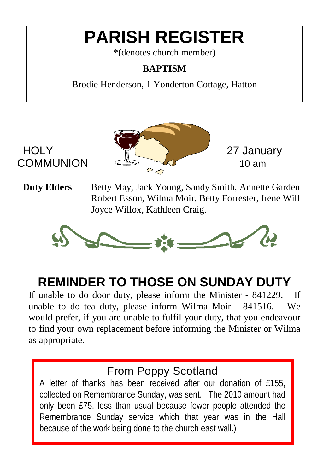## **PARISH REGISTER**

\*(denotes church member)

#### **BAPTISM**

Brodie Henderson, 1 Yonderton Cottage, Hatton



**Duty Elders** Betty May, Jack Young, Sandy Smith, Annette Garden Robert Esson, Wilma Moir, Betty Forrester, Irene Will Joyce Willox, Kathleen Craig.



### **REMINDER TO THOSE ON SUNDAY DUTY**

If unable to do door duty, please inform the Minister - 841229. If unable to do tea duty, please inform Wilma Moir - 841516. We would prefer, if you are unable to fulfil your duty, that you endeavour to find your own replacement before informing the Minister or Wilma as appropriate.

### From Poppy Scotland

A letter of thanks has been received after our donation of £155, collected on Remembrance Sunday, was sent. The 2010 amount had only been £75, less than usual because fewer people attended the Remembrance Sunday service which that year was in the Hall because of the work being done to the church east wall.)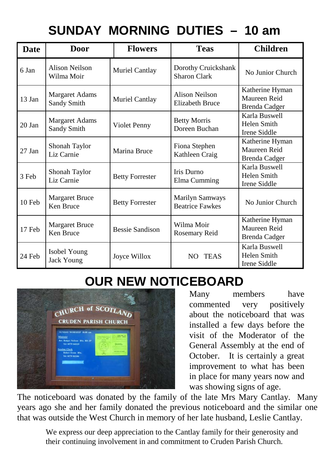### **SUNDAY MORNING DUTIES – 10 am**

| <b>Date</b> | Door                                 | <b>Flowers</b>         | <b>Teas</b>                                | <b>Children</b>                                         |
|-------------|--------------------------------------|------------------------|--------------------------------------------|---------------------------------------------------------|
| 6 Jan       | Alison Neilson<br>Wilma Moir         | Muriel Cantlay         | Dorothy Cruickshank<br><b>Sharon Clark</b> | No Junior Church                                        |
| $13$ Jan    | <b>Margaret Adams</b><br>Sandy Smith | Muriel Cantlay         | Alison Neilson<br>Elizabeth Bruce          | Katherine Hyman<br>Maureen Reid<br><b>Brenda Cadger</b> |
| 20 Jan      | <b>Margaret Adams</b><br>Sandy Smith | Violet Penny           | <b>Betty Morris</b><br>Doreen Buchan       | Karla Buswell<br>Helen Smith<br>Irene Siddle            |
| $27$ Jan    | Shonah Taylor<br>Liz Carnie          | Marina Bruce           | Fiona Stephen<br>Kathleen Craig            | Katherine Hyman<br>Maureen Reid<br>Brenda Cadger        |
| 3 Feb       | Shonah Taylor<br>Liz Carnie          | <b>Betty Forrester</b> | Iris Durno<br>Elma Cumming                 | Karla Buswell<br>Helen Smith<br>Irene Siddle            |
| $10$ Feb    | <b>Margaret Bruce</b><br>Ken Bruce   | <b>Betty Forrester</b> | Marilyn Samways<br><b>Beatrice Fawkes</b>  | No Junior Church                                        |
| 17 Feb      | Margaret Bruce<br>Ken Bruce          | <b>Bessie Sandison</b> | Wilma Moir<br>Rosemary Reid                | Katherine Hyman<br>Maureen Reid<br>Brenda Cadger        |
| 24 Feb      | Isobel Young<br>Jack Young           | Joyce Willox           | NO TEAS                                    | Karla Buswell<br>Helen Smith<br>Irene Siddle            |

### **OUR NEW NOTICEBOARD**



Many members have<br>commented very positively commented very about the noticeboard that was installed a few days before the visit of the Moderator of the General Assembly at the end of October. It is certainly a great improvement to what has been in place for many years now and was showing signs of age.

The noticeboard was donated by the family of the late Mrs Mary Cantlay. Many years ago she and her family donated the previous noticeboard and the similar one that was outside the West Church in memory of her late husband, Leslie Cantlay.

We express our deep appreciation to the Cantlay family for their generosity and their continuing involvement in and commitment to Cruden Parish Church.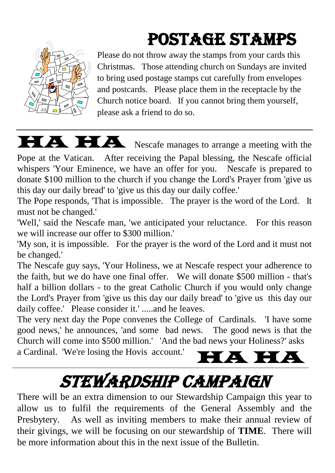## POSTAGE STAMPS



Please do not throw away the stamps from your cards this Christmas. Those attending church on Sundays are invited to bring used postage stamps cut carefully from envelopes and postcards. Please place them in the receptacle by the Church notice board. If you cannot bring them yourself, please ask a friend to do so.



HA HA Nescafe manages to arrange a meeting with the

Pope at the Vatican. After receiving the Papal blessing, the Nescafe official whispers 'Your Eminence, we have an offer for you. Nescafe is prepared to donate \$100 million to the church if you change the Lord's Prayer from 'give us this day our daily bread' to 'give us this day our daily coffee.'

The Pope responds, 'That is impossible. The prayer is the word of the Lord. It must not be changed.'

'Well,' said the Nescafe man, 'we anticipated your reluctance. For this reason we will increase our offer to \$300 million.'

'My son, it is impossible. For the prayer is the word of the Lord and it must not be changed.'

The Nescafe guy says, 'Your Holiness, we at Nescafe respect your adherence to the faith, but we do have one final offer. We will donate \$500 million - that's half a billion dollars - to the great Catholic Church if you would only change the Lord's Prayer from 'give us this day our daily bread' to 'give us this day our daily coffee.' Please consider it.' .....and he leaves.

The very next day the Pope convenes the College of Cardinals. 'I have some good news,' he announces, 'and some bad news. The good news is that the Church will come into \$500 million.' 'And the bad news your Holiness?' asks

a Cardinal. 'We're losing the Hovis account.'



## Stewardship Campaign

There will be an extra dimension to our Stewardship Campaign this year to allow us to fulfil the requirements of the General Assembly and the Presbytery. As well as inviting members to make their annual review of their givings, we will be focusing on our stewardship of **TIME**. There will be more information about this in the next issue of the Bulletin.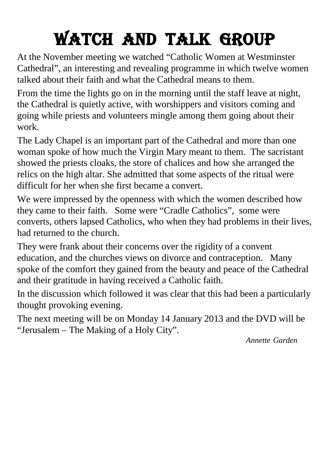## Watch And Talk Group

At the November meeting we watched "Catholic Women at Westminster Cathedral", an interesting and revealing programme in which twelve women talked about their faith and what the Cathedral means to them.

From the time the lights go on in the morning until the staff leave at night, the Cathedral is quietly active, with worshippers and visitors coming and going while priests and volunteers mingle among them going about their work.

The Lady Chapel is an important part of the Cathedral and more than one woman spoke of how much the Virgin Mary meant to them. The sacristant showed the priests cloaks, the store of chalices and how she arranged the relics on the high altar. She admitted that some aspects of the ritual were difficult for her when she first became a convert.

We were impressed by the openness with which the women described how they came to their faith. Some were "Cradle Catholics", some were converts, others lapsed Catholics, who when they had problems in their lives, had returned to the church.

They were frank about their concerns over the rigidity of a convent education, and the churches views on divorce and contraception. Many spoke of the comfort they gained from the beauty and peace of the Cathedral and their gratitude in having received a Catholic faith.

In the discussion which followed it was clear that this had been a particularly thought provoking evening.

The next meeting will be on Monday 14 January 2013 and the DVD will be "Jerusalem – The Making of a Holy City".

*Annette Garden*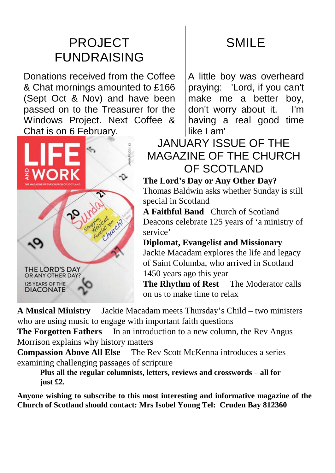### PROJECT FUNDRAISING

Donations received from the Coffee & Chat mornings amounted to £166 (Sept Oct & Nov) and have been passed on to the Treasurer for the Windows Project. Next Coffee & Chat is on 6 February.



### SMILE

A little boy was overheard praying: 'Lord, if you can't make me a better boy, don't worry about it. I'm having a real good time like I am'

### JANUARY ISSUE OF THE MAGAZINE OF THE CHURCH OF SCOTLAND

#### **The Lord's Day or Any Other Day?**

Thomas Baldwin asks whether Sunday is still special in Scotland

**A Faithful Band** Church of Scotland Deacons celebrate 125 years of 'a ministry of service'

#### **Diplomat, Evangelist and Missionary**

Jackie Macadam explores the life and legacy of Saint Columba, who arrived in Scotland 1450 years ago this year

**The Rhythm of Rest** The Moderator calls on us to make time to relax

**A Musical Ministry** Jackie Macadam meets Thursday's Child – two ministers who are using music to engage with important faith questions

**The Forgotten Fathers** In an introduction to a new column, the Rev Angus Morrison explains why history matters

**Compassion Above All Else** The Rev Scott McKenna introduces a series examining challenging passages of scripture

**Plus all the regular columnists, letters, reviews and crosswords – all for just £2.**

**Anyone wishing to subscribe to this most interesting and informative magazine of the Church of Scotland should contact: Mrs Isobel Young Tel: Cruden Bay 812360**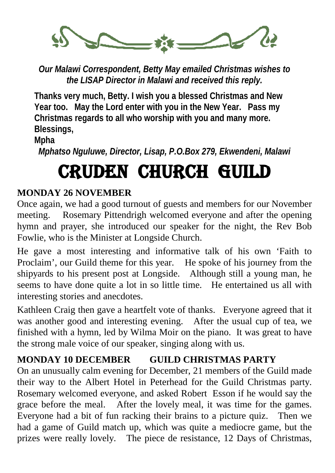

*Our Malawi Correspondent, Betty May emailed Christmas wishes to the LISAP Director in Malawi and received this reply.*

**Thanks very much, Betty. I wish you a blessed Christmas and New Year too. May the Lord enter with you in the New Year. Pass my Christmas regards to all who worship with you and many more. Blessings,**

**Mpha**

*Mphatso Nguluwe, Director, Lisap, P.O.Box 279, Ekwendeni, Malawi*

## CRUDEN CHURCH GUILD

#### **MONDAY 26 NOVEMBER**

Once again, we had a good turnout of guests and members for our November meeting. Rosemary Pittendrigh welcomed everyone and after the opening hymn and prayer, she introduced our speaker for the night, the Rev Bob Fowlie, who is the Minister at Longside Church.

He gave a most interesting and informative talk of his own 'Faith to Proclaim', our Guild theme for this year. He spoke of his journey from the shipyards to his present post at Longside. Although still a young man, he seems to have done quite a lot in so little time. He entertained us all with interesting stories and anecdotes.

Kathleen Craig then gave a heartfelt vote of thanks. Everyone agreed that it was another good and interesting evening. After the usual cup of tea, we finished with a hymn, led by Wilma Moir on the piano. It was great to have the strong male voice of our speaker, singing along with us.

#### **MONDAY 10 DECEMBER GUILD CHRISTMAS PARTY**

On an unusually calm evening for December, 21 members of the Guild made their way to the Albert Hotel in Peterhead for the Guild Christmas party. Rosemary welcomed everyone, and asked Robert Esson if he would say the grace before the meal. After the lovely meal, it was time for the games. Everyone had a bit of fun racking their brains to a picture quiz. Then we had a game of Guild match up, which was quite a mediocre game, but the prizes were really lovely. The piece de resistance, 12 Days of Christmas,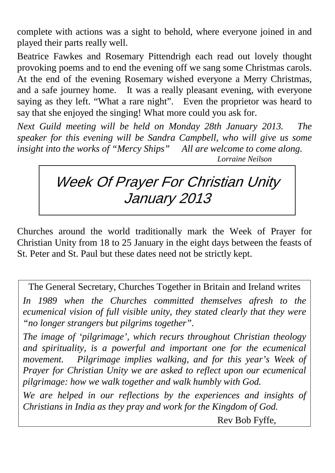complete with actions was a sight to behold, where everyone joined in and played their parts really well.

Beatrice Fawkes and Rosemary Pittendrigh each read out lovely thought provoking poems and to end the evening off we sang some Christmas carols. At the end of the evening Rosemary wished everyone a Merry Christmas, and a safe journey home. It was a really pleasant evening, with everyone saying as they left. "What a rare night". Even the proprietor was heard to say that she enjoyed the singing! What more could you ask for.

*Next Guild meeting will be held on Monday 28th January 2013. The speaker for this evening will be Sandra Campbell, who will give us some insight into the works of "Mercy Ships" All are welcome to come along.* 

*Lorraine Neilson*

### Week Of Prayer For Christian Unity January 2013

Churches around the world traditionally mark the Week of Prayer for Christian Unity from 18 to 25 January in the eight days between the feasts of St. Peter and St. Paul but these dates need not be strictly kept.

The General Secretary, Churches Together in Britain and Ireland writes *In 1989 when the Churches committed themselves afresh to the ecumenical vision of full visible unity, they stated clearly that they were "no longer strangers but pilgrims together".* 

*The image of 'pilgrimage', which recurs throughout Christian theology and spirituality, is a powerful and important one for the ecumenical movement. Pilgrimage implies walking, and for this year's Week of Prayer for Christian Unity we are asked to reflect upon our ecumenical pilgrimage: how we walk together and walk humbly with God.*

*We are helped in our reflections by the experiences and insights of Christians in India as they pray and work for the Kingdom of God.*

Rev Bob Fyffe,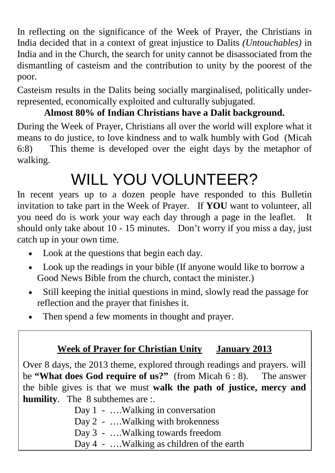In reflecting on the significance of the Week of Prayer, the Christians in India decided that in a context of great injustice to Dalits *(Untouchables)* in India and in the Church, the search for unity cannot be disassociated from the dismantling of casteism and the contribution to unity by the poorest of the poor.

Casteism results in the Dalits being socially marginalised, politically underrepresented, economically exploited and culturally subjugated.

### **Almost 80% of Indian Christians have a Dalit background.**

During the Week of Prayer, Christians all over the world will explore what it means to do justice, to love kindness and to walk humbly with God (Micah 6:8) This theme is developed over the eight days by the metaphor of walking.

## WILL YOU VOLUNTEER?

In recent years up to a dozen people have responded to this Bulletin invitation to take part in the Week of Prayer. If **YOU** want to volunteer, all you need do is work your way each day through a page in the leaflet. It should only take about 10 - 15 minutes. Don't worry if you miss a day, just catch up in your own time.

- Look at the questions that begin each day.
- Look up the readings in your bible (If anyone would like to borrow a Good News Bible from the church, contact the minister.)
- Still keeping the initial questions in mind, slowly read the passage for reflection and the prayer that finishes it.
- Then spend a few moments in thought and prayer.

### **Week of Prayer for Christian Unity January 2013**

Over 8 days, the 2013 theme, explored through readings and prayers. will be **"What does God require of us?"** (from Micah 6 : 8). The answer the bible gives is that we must **walk the path of justice, mercy and humility**. The 8 subthemes are :.

> Day 1 - ....Walking in conversation Day 2 - ....Walking with brokenness Day 3 - ….Walking towards freedom Day 4 - ....Walking as children of the earth